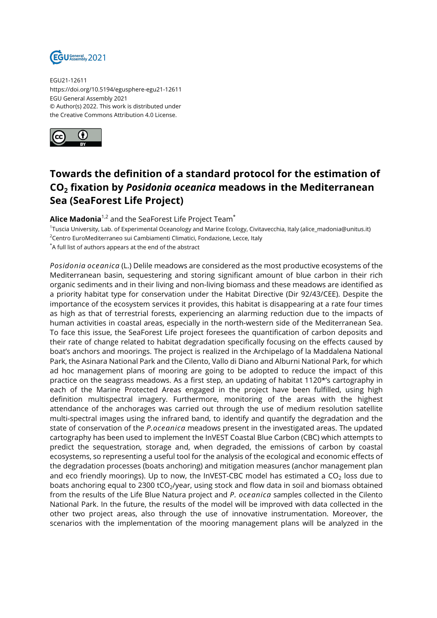

EGU21-12611 https://doi.org/10.5194/egusphere-egu21-12611 EGU General Assembly 2021 © Author(s) 2022. This work is distributed under the Creative Commons Attribution 4.0 License.



## **Towards the definition of a standard protocol for the estimation of CO<sup>2</sup> fixation by** *Posidonia oceanica* **meadows in the Mediterranean Sea (SeaForest Life Project)**

**Alice Madonia**1,2 and the SeaForest Life Project Team\*

1 Tuscia University, Lab. of Experimental Oceanology and Marine Ecology, Civitavecchia, Italy (alice\_madonia@unitus.it) <sup>2</sup>Centro EuroMediterraneo sui Cambiamenti Climatici, Fondazione, Lecce, Italy

\*A full list of authors appears at the end of the abstract

*Posidonia oceanica* (L.) Delile meadows are considered as the most productive ecosystems of the Mediterranean basin, sequestering and storing significant amount of blue carbon in their rich organic sediments and in their living and non-living biomass and these meadows are identified as a priority habitat type for conservation under the Habitat Directive (Dir 92/43/CEE). Despite the importance of the ecosystem services it provides, this habitat is disappearing at a rate four times as high as that of terrestrial forests, experiencing an alarming reduction due to the impacts of human activities in coastal areas, especially in the north-western side of the Mediterranean Sea. To face this issue, the SeaForest Life project foresees the quantification of carbon deposits and their rate of change related to habitat degradation specifically focusing on the effects caused by boat's anchors and moorings. The project is realized in the Archipelago of la Maddalena National Park, the Asinara National Park and the Cilento, Vallo di Diano and Alburni National Park, for which ad hoc management plans of mooring are going to be adopted to reduce the impact of this practice on the seagrass meadows. As a first step, an updating of habitat 1120\*'s cartography in each of the Marine Protected Areas engaged in the project have been fulfilled, using high definition multispectral imagery. Furthermore, monitoring of the areas with the highest attendance of the anchorages was carried out through the use of medium resolution satellite multi-spectral images using the infrared band, to identify and quantify the degradation and the state of conservation of the *P.oceanica* meadows present in the investigated areas. The updated cartography has been used to implement the InVEST Coastal Blue Carbon (CBC) which attempts to predict the sequestration, storage and, when degraded, the emissions of carbon by coastal ecosystems, so representing a useful tool for the analysis of the ecological and economic effects of the degradation processes (boats anchoring) and mitigation measures (anchor management plan and eco friendly moorings). Up to now, the InVEST-CBC model has estimated a CO $_{\rm 2}$  loss due to boats anchoring equal to 2300 tCO $_2$ /year, using stock and flow data in soil and biomass obtained from the results of the Life Blue Natura project and *P. oceanica* samples collected in the Cilento National Park. In the future, the results of the model will be improved with data collected in the other two project areas, also through the use of innovative instrumentation. Moreover, the scenarios with the implementation of the mooring management plans will be analyzed in the